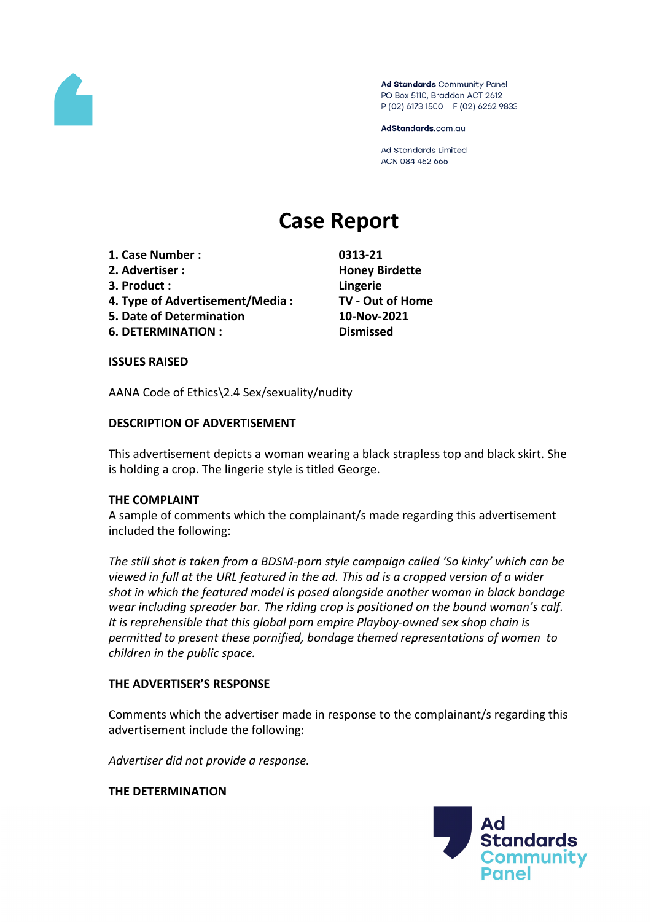

Ad Standards Community Panel PO Box 5110, Braddon ACT 2612 P (02) 6173 1500 | F (02) 6262 9833

AdStandards.com.au

Ad Standards Limited ACN 084 452 666

# **Case Report**

- **1. Case Number : 0313-21**
- **2. Advertiser : Honey Birdette**
- **3. Product : Lingerie**
- **4. Type of Advertisement/Media : TV - Out of Home**
- **5. Date of Determination 10-Nov-2021**
- **6. DETERMINATION : Dismissed**

### **ISSUES RAISED**

AANA Code of Ethics\2.4 Sex/sexuality/nudity

## **DESCRIPTION OF ADVERTISEMENT**

This advertisement depicts a woman wearing a black strapless top and black skirt. She is holding a crop. The lingerie style is titled George.

### **THE COMPLAINT**

A sample of comments which the complainant/s made regarding this advertisement included the following:

*The still shot is taken from a BDSM-porn style campaign called 'So kinky' which can be viewed in full at the URL featured in the ad. This ad is a cropped version of a wider shot in which the featured model is posed alongside another woman in black bondage wear including spreader bar. The riding crop is positioned on the bound woman's calf. It is reprehensible that this global porn empire Playboy-owned sex shop chain is permitted to present these pornified, bondage themed representations of women to children in the public space.*

### **THE ADVERTISER'S RESPONSE**

Comments which the advertiser made in response to the complainant/s regarding this advertisement include the following:

*Advertiser did not provide a response.*

**THE DETERMINATION**

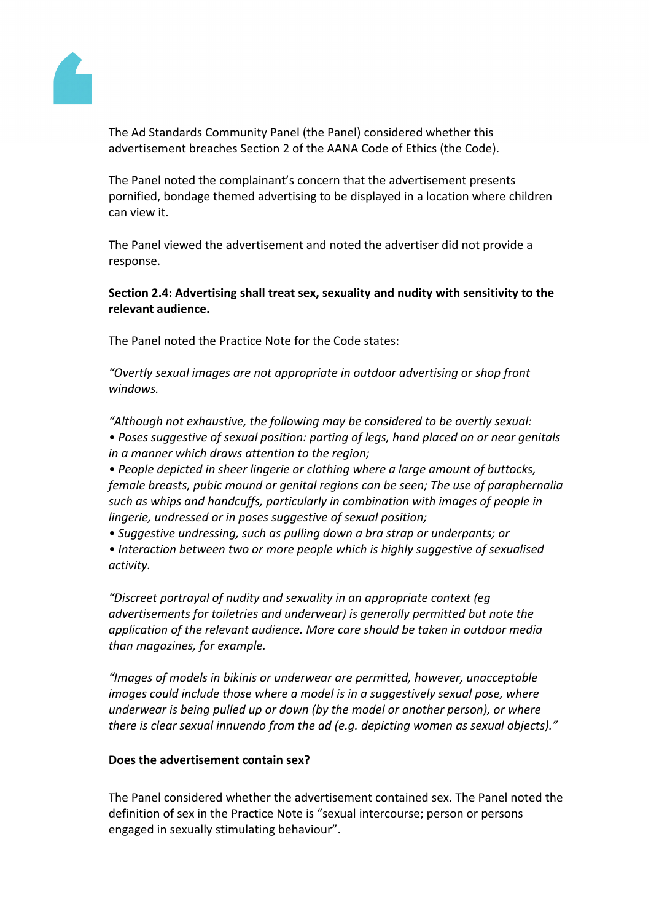

The Ad Standards Community Panel (the Panel) considered whether this advertisement breaches Section 2 of the AANA Code of Ethics (the Code).

The Panel noted the complainant's concern that the advertisement presents pornified, bondage themed advertising to be displayed in a location where children can view it.

The Panel viewed the advertisement and noted the advertiser did not provide a response.

**Section 2.4: Advertising shall treat sex, sexuality and nudity with sensitivity to the relevant audience.**

The Panel noted the Practice Note for the Code states:

*"Overtly sexual images are not appropriate in outdoor advertising or shop front windows.*

*"Although not exhaustive, the following may be considered to be overtly sexual:*

*• Poses suggestive of sexual position: parting of legs, hand placed on or near genitals in a manner which draws attention to the region;*

*• People depicted in sheer lingerie or clothing where a large amount of buttocks, female breasts, pubic mound or genital regions can be seen; The use of paraphernalia such as whips and handcuffs, particularly in combination with images of people in lingerie, undressed or in poses suggestive of sexual position;*

*• Suggestive undressing, such as pulling down a bra strap or underpants; or*

*• Interaction between two or more people which is highly suggestive of sexualised activity.*

*"Discreet portrayal of nudity and sexuality in an appropriate context (eg advertisements for toiletries and underwear) is generally permitted but note the application of the relevant audience. More care should be taken in outdoor media than magazines, for example.*

*"Images of models in bikinis or underwear are permitted, however, unacceptable images could include those where a model is in a suggestively sexual pose, where underwear is being pulled up or down (by the model or another person), or where there is clear sexual innuendo from the ad (e.g. depicting women as sexual objects)."*

# **Does the advertisement contain sex?**

The Panel considered whether the advertisement contained sex. The Panel noted the definition of sex in the Practice Note is "sexual intercourse; person or persons engaged in sexually stimulating behaviour".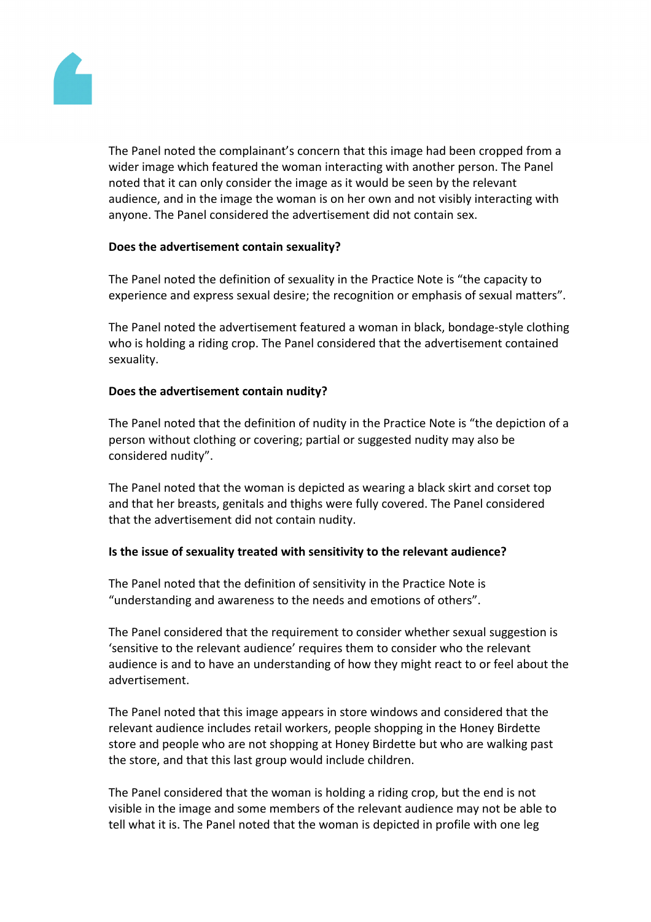

The Panel noted the complainant's concern that this image had been cropped from a wider image which featured the woman interacting with another person. The Panel noted that it can only consider the image as it would be seen by the relevant audience, and in the image the woman is on her own and not visibly interacting with anyone. The Panel considered the advertisement did not contain sex.

## **Does the advertisement contain sexuality?**

The Panel noted the definition of sexuality in the Practice Note is "the capacity to experience and express sexual desire; the recognition or emphasis of sexual matters".

The Panel noted the advertisement featured a woman in black, bondage-style clothing who is holding a riding crop. The Panel considered that the advertisement contained sexuality.

## **Does the advertisement contain nudity?**

The Panel noted that the definition of nudity in the Practice Note is "the depiction of a person without clothing or covering; partial or suggested nudity may also be considered nudity".

The Panel noted that the woman is depicted as wearing a black skirt and corset top and that her breasts, genitals and thighs were fully covered. The Panel considered that the advertisement did not contain nudity.

### **Is the issue of sexuality treated with sensitivity to the relevant audience?**

The Panel noted that the definition of sensitivity in the Practice Note is "understanding and awareness to the needs and emotions of others".

The Panel considered that the requirement to consider whether sexual suggestion is 'sensitive to the relevant audience' requires them to consider who the relevant audience is and to have an understanding of how they might react to or feel about the advertisement.

The Panel noted that this image appears in store windows and considered that the relevant audience includes retail workers, people shopping in the Honey Birdette store and people who are not shopping at Honey Birdette but who are walking past the store, and that this last group would include children.

The Panel considered that the woman is holding a riding crop, but the end is not visible in the image and some members of the relevant audience may not be able to tell what it is. The Panel noted that the woman is depicted in profile with one leg